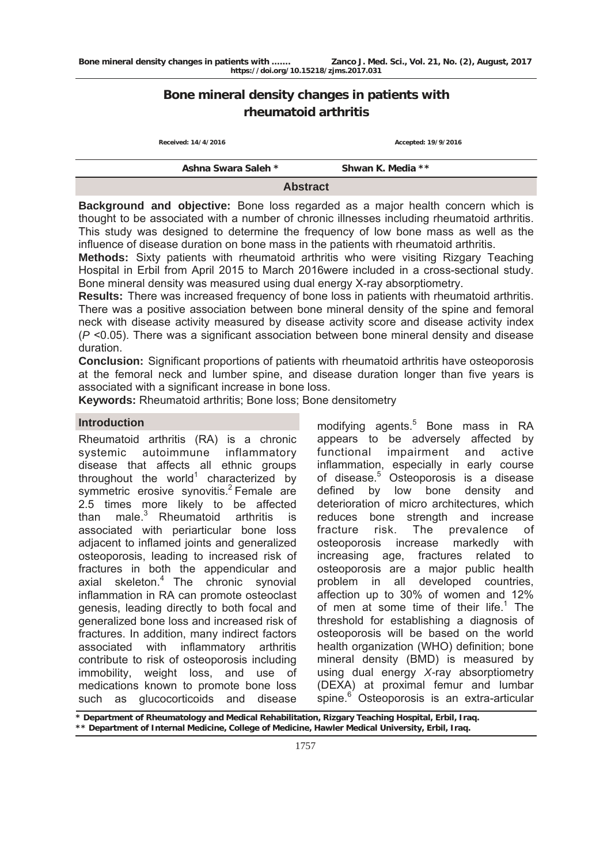# **Bone mineral density changes in patients with rheumatoid arthritis**

| Received: 14/4/2016<br>Accepted: 19/9/2016 |                   |  |  |  |
|--------------------------------------------|-------------------|--|--|--|
| Ashna Swara Saleh *                        | Shwan K. Media ** |  |  |  |
| <b>Abstract</b>                            |                   |  |  |  |

**Background and objective:** Bone loss regarded as a major health concern which is thought to be associated with a number of chronic illnesses including rheumatoid arthritis. This study was designed to determine the frequency of low bone mass as well as the influence of disease duration on bone mass in the patients with rheumatoid arthritis.

**Methods:** Sixty patients with rheumatoid arthritis who were visiting Rizgary Teaching Hospital in Erbil from April 2015 to March 2016were included in a cross-sectional study. Bone mineral density was measured using dual energy X-ray absorptiometry.

**Results:** There was increased frequency of bone loss in patients with rheumatoid arthritis. There was a positive association between bone mineral density of the spine and femoral neck with disease activity measured by disease activity score and disease activity index (*P* <0.05). There was a significant association between bone mineral density and disease duration.

**Conclusion:** Significant proportions of patients with rheumatoid arthritis have osteoporosis at the femoral neck and lumber spine, and disease duration longer than five years is associated with a significant increase in bone loss.

**Keywords:** Rheumatoid arthritis; Bone loss; Bone densitometry

## **Introduction**

Rheumatoid arthritis (RA) is a chronic systemic autoimmune inflammatory disease that affects all ethnic groups throughout the world<sup>1</sup> characterized by symmetric erosive synovitis.<sup>2</sup> Female are 2.5 times more likely to be affected than male. $3$  Rheumatoid arthritis is associated with periarticular bone loss adjacent to inflamed joints and generalized osteoporosis, leading to increased risk of fractures in both the appendicular and axial skeleton.<sup>4</sup> The chronic synovial inflammation in RA can promote osteoclast genesis, leading directly to both focal and generalized bone loss and increased risk of fractures. In addition, many indirect factors associated with inflammatory arthritis contribute to risk of osteoporosis including immobility, weight loss, and use of medications known to promote bone loss such as glucocorticoids and disease

modifying agents.<sup>5</sup> Bone mass in RA appears to be adversely affected by functional impairment and active inflammation, especially in early course of disease.5 Osteoporosis is a disease defined by low bone density and deterioration of micro architectures, which reduces bone strength and increase fracture risk. The prevalence of osteoporosis increase markedly with increasing age, fractures related to osteoporosis are a major public health problem in all developed countries, affection up to 30% of women and 12% of men at some time of their life. $1$  The threshold for establishing a diagnosis of osteoporosis will be based on the world health organization (WHO) definition; bone mineral density (BMD) is measured by using dual energy *X-*ray absorptiometry (DEXA) at proximal femur and lumbar spine.<sup>6</sup> Osteoporosis is an extra-articular

**\* Department of Rheumatology and Medical Rehabilitation, Rizgary Teaching Hospital, Erbil, Iraq. \*\* Department of Internal Medicine, College of Medicine, Hawler Medical University, Erbil, Iraq.**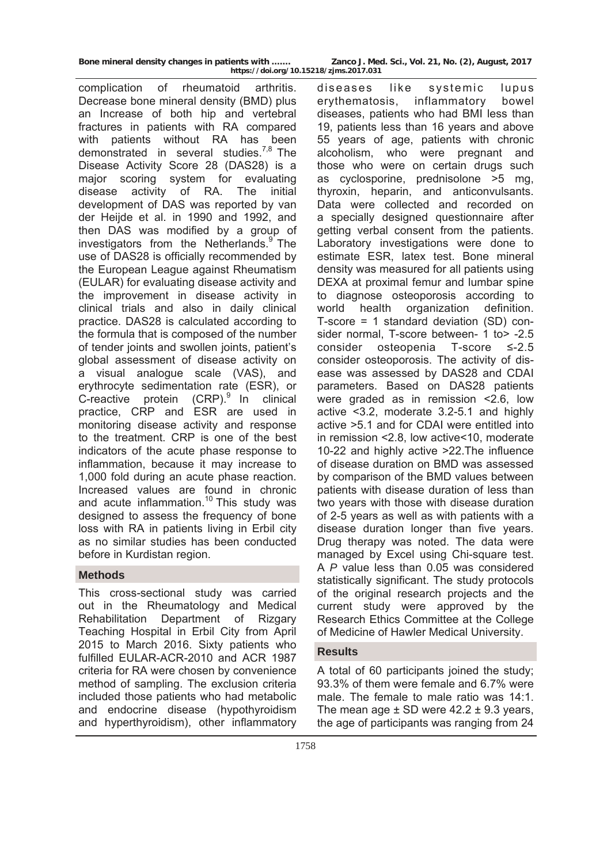complication of rheumatoid arthritis. Decrease bone mineral density (BMD) plus an Increase of both hip and vertebral fractures in patients with RA compared with patients without RA has been demonstrated in several studies.<sup>7,8</sup> The Disease Activity Score 28 (DAS28) is a major scoring system for evaluating disease activity of RA. The initial development of DAS was reported by van der Heijde et al. in 1990 and 1992, and then DAS was modified by a group of investigators from the Netherlands.<sup>9</sup> The use of DAS28 is officially recommended by the European League against Rheumatism (EULAR) for evaluating disease activity and the improvement in disease activity in clinical trials and also in daily clinical practice. DAS28 is calculated according to the formula that is composed of the number of tender joints and swollen joints, patient's global assessment of disease activity on a visual analogue scale (VAS), and erythrocyte sedimentation rate (ESR), or C-reactive protein  $(CRP)$ . In clinical practice, CRP and ESR are used in monitoring disease activity and response to the treatment. CRP is one of the best indicators of the acute phase response to inflammation, because it may increase to 1,000 fold during an acute phase reaction. Increased values are found in chronic and acute inflammation.<sup>10</sup> This study was designed to assess the frequency of bone loss with RA in patients living in Erbil city as no similar studies has been conducted before in Kurdistan region.

# **Methods**

This cross-sectional study was carried out in the Rheumatology and Medical Rehabilitation Department of Rizgary Teaching Hospital in Erbil City from April 2015 to March 2016. Sixty patients who fulfilled EULAR-ACR-2010 and ACR 1987 criteria for RA were chosen by convenience method of sampling. The exclusion criteria included those patients who had metabolic and endocrine disease (hypothyroidism and hyperthyroidism), other inflammatory

**https://doi.org/10.15218/zjms.2017.031**

diseases like systemic lupus erythematosis, inflammatory bowel diseases, patients who had BMI less than 19, patients less than 16 years and above 55 years of age, patients with chronic alcoholism, who were pregnant and those who were on certain drugs such as cyclosporine, prednisolone >5 mg, thyroxin, heparin, and anticonvulsants. Data were collected and recorded on a specially designed questionnaire after getting verbal consent from the patients. Laboratory investigations were done to estimate ESR, latex test. Bone mineral density was measured for all patients using DEXA at proximal femur and lumbar spine to diagnose osteoporosis according to world health organization definition. T-score = 1 standard deviation (SD) consider normal, T-score between- 1 to >-2.5 consider osteopenia T-score ≤-2.5 consider osteoporosis. The activity of disease was assessed by DAS28 and CDAI parameters. Based on DAS28 patients were graded as in remission <2.6, low active <3.2, moderate 3.2-5.1 and highly active >5.1 and for CDAI were entitled into in remission <2.8, low active<10, moderate 10-22 and highly active >22.The influence of disease duration on BMD was assessed by comparison of the BMD values between patients with disease duration of less than two years with those with disease duration of 2-5 years as well as with patients with a disease duration longer than five years. Drug therapy was noted. The data were managed by Excel using Chi-square test. A *P* value less than 0.05 was considered statistically significant. The study protocols of the original research projects and the current study were approved by the Research Ethics Committee at the College of Medicine of Hawler Medical University.

# **Results**

A total of 60 participants joined the study; 93.3% of them were female and 6.7% were male. The female to male ratio was 14:1. The mean age  $\pm$  SD were 42.2  $\pm$  9.3 years, the age of participants was ranging from 24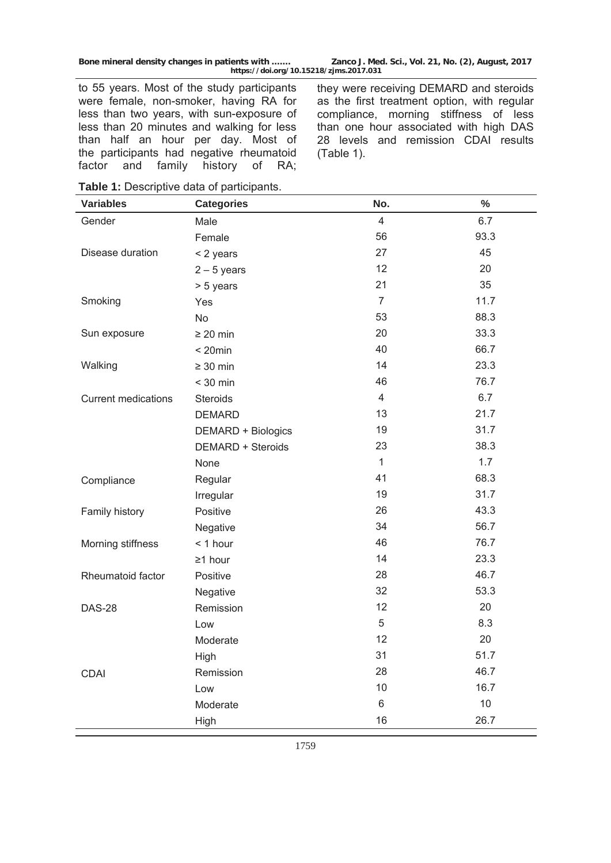to 55 years. Most of the study participants were female, non-smoker, having RA for less than two years, with sun-exposure of less than 20 minutes and walking for less than half an hour per day. Most of the participants had negative rheumatoid factor and family history of RA;

they were receiving DEMARD and steroids as the first treatment option, with regular compliance, morning stiffness of less than one hour associated with high DAS 28 levels and remission CDAI results (Table 1).

| <b>Variables</b>           | <b>Categories</b>        | No.            | $\%$ |
|----------------------------|--------------------------|----------------|------|
| Gender                     | Male                     | $\overline{4}$ | 6.7  |
|                            | Female                   | 56             | 93.3 |
| Disease duration           | < 2 years                | 27             | 45   |
|                            | $2 - 5$ years            | 12             | 20   |
|                            | > 5 years                | 21             | 35   |
| Smoking                    | Yes                      | $\overline{7}$ | 11.7 |
|                            | <b>No</b>                | 53             | 88.3 |
| Sun exposure               | $\geq 20$ min            | 20             | 33.3 |
|                            | $< 20$ min               | 40             | 66.7 |
| Walking                    | $\geq 30$ min            | 14             | 23.3 |
|                            | $<$ 30 min               | 46             | 76.7 |
| <b>Current medications</b> | Steroids                 | $\overline{4}$ | 6.7  |
|                            | <b>DEMARD</b>            | 13             | 21.7 |
|                            | DEMARD + Biologics       | 19             | 31.7 |
|                            | <b>DEMARD + Steroids</b> | 23             | 38.3 |
|                            | None                     | $\mathbf{1}$   | 1.7  |
| Compliance                 | Regular                  | 41             | 68.3 |
|                            | Irregular                | 19             | 31.7 |
| Family history             | Positive                 | 26             | 43.3 |
|                            | Negative                 | 34             | 56.7 |
| Morning stiffness          | $<$ 1 hour               | 46             | 76.7 |
|                            | $\geq$ 1 hour            | 14             | 23.3 |
| Rheumatoid factor          | Positive                 | 28             | 46.7 |
|                            | Negative                 | 32             | 53.3 |
| <b>DAS-28</b>              | Remission                | 12             | 20   |
|                            | Low                      | 5              | 8.3  |
|                            | Moderate                 | 12             | 20   |
|                            | High                     | 31             | 51.7 |
| <b>CDAI</b>                | Remission                | 28             | 46.7 |
|                            | Low                      | 10             | 16.7 |
|                            | Moderate                 | $\,6$          | 10   |
|                            | High                     | 16             | 26.7 |

**Table 1:** Descriptive data of participants.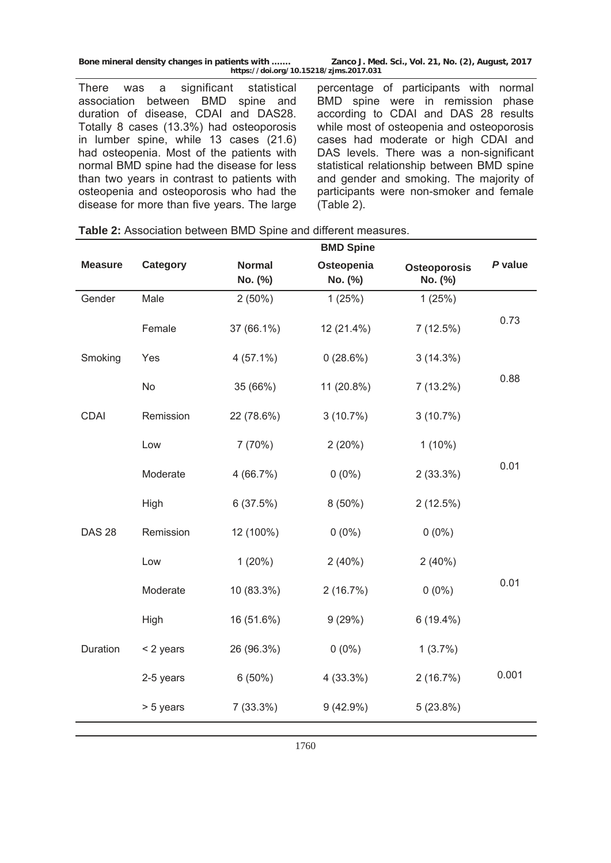**BMD Spine** 

There was a significant statistical association between BMD spine and duration of disease, CDAI and DAS28. Totally 8 cases (13.3%) had osteoporosis in lumber spine, while 13 cases (21.6) had osteopenia. Most of the patients with normal BMD spine had the disease for less than two years in contrast to patients with osteopenia and osteoporosis who had the disease for more than five years. The large

percentage of participants with normal BMD spine were in remission phase according to CDAI and DAS 28 results while most of osteopenia and osteoporosis cases had moderate or high CDAI and DAS levels. There was a non-significant statistical relationship between BMD spine and gender and smoking. The majority of participants were non-smoker and female (Table 2).

|                |           |                          | <b>BMD Spine</b>      |                         |         |
|----------------|-----------|--------------------------|-----------------------|-------------------------|---------|
| <b>Measure</b> | Category  | <b>Normal</b><br>No. (%) | Osteopenia<br>No. (%) | Osteoporosis<br>No. (%) | P value |
| Gender         | Male      | $2(50\%)$                | 1(25%)                | 1(25%)                  |         |
|                | Female    | 37 (66.1%)               | 12 (21.4%)            | 7(12.5%)                | 0.73    |
| Smoking        | Yes       | $4(57.1\%)$              | 0(28.6%)              | 3(14.3%)                |         |
|                | <b>No</b> | 35 (66%)                 | 11 (20.8%)            | $7(13.2\%)$             | 0.88    |
| <b>CDAI</b>    | Remission | 22 (78.6%)               | 3(10.7%)              | 3(10.7%)                |         |
|                | Low       | 7(70%)                   | 2(20%)                | $1(10\%)$               |         |
|                | Moderate  | 4(66.7%)                 | $0(0\%)$              | 2(33.3%)                | 0.01    |
|                | High      | 6(37.5%)                 | $8(50\%)$             | 2(12.5%)                |         |
| <b>DAS 28</b>  | Remission | 12 (100%)                | $0(0\%)$              | $0(0\%)$                |         |
|                | Low       | 1(20%)                   | 2(40%)                | 2(40%)                  |         |
|                | Moderate  | 10 (83.3%)               | 2(16.7%)              | $0(0\%)$                | 0.01    |
|                | High      | 16 (51.6%)               | 9(29%)                | $6(19.4\%)$             |         |
| Duration       | < 2 years | 26 (96.3%)               | $0(0\%)$              | 1(3.7%)                 |         |
|                | 2-5 years | $6(50\%)$                | 4(33.3%)              | 2(16.7%)                | 0.001   |
|                | > 5 years | 7(33.3%)                 | 9(42.9%)              | 5(23.8%)                |         |
|                |           |                          |                       |                         |         |

|  | <b>Table 2: Association between BMD Spine and different measures.</b> |  |  |  |  |
|--|-----------------------------------------------------------------------|--|--|--|--|
|--|-----------------------------------------------------------------------|--|--|--|--|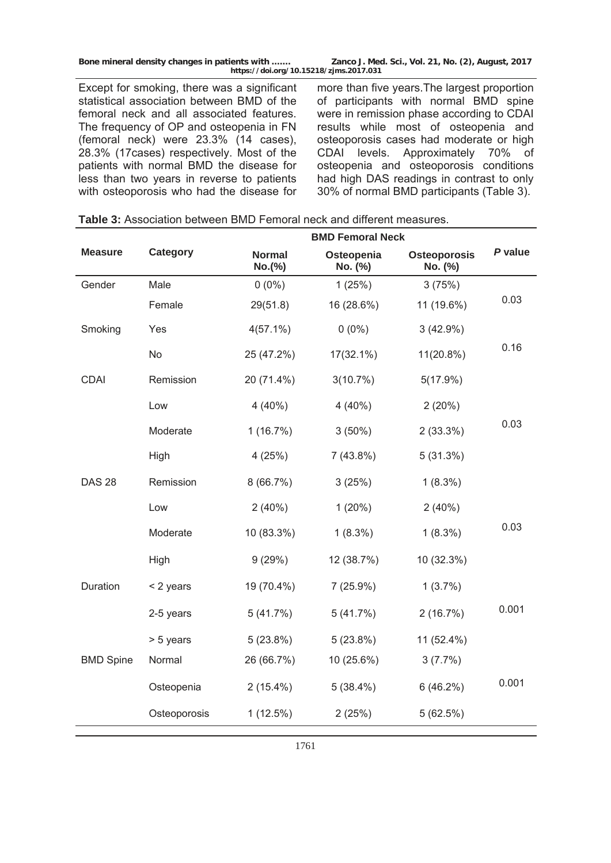Except for smoking, there was a significant statistical association between BMD of the femoral neck and all associated features. The frequency of OP and osteopenia in FN (femoral neck) were 23.3% (14 cases), 28.3% (17cases) respectively. Most of the patients with normal BMD the disease for less than two years in reverse to patients with osteoporosis who had the disease for more than five years.The largest proportion of participants with normal BMD spine were in remission phase according to CDAI results while most of osteopenia and osteoporosis cases had moderate or high CDAI levels. Approximately 70% of osteopenia and osteoporosis conditions had high DAS readings in contrast to only 30% of normal BMD participants (Table 3).

|                  |              | <b>BMD Femoral Neck</b> |                       |                         |         |
|------------------|--------------|-------------------------|-----------------------|-------------------------|---------|
| <b>Measure</b>   | Category     | <b>Normal</b><br>No.(%) | Osteopenia<br>No. (%) | Osteoporosis<br>No. (%) | P value |
| Gender           | Male         | $0(0\%)$                | 1(25%)                | 3(75%)                  |         |
|                  | Female       | 29(51.8)                | 16 (28.6%)            | 11 (19.6%)              | 0.03    |
| Smoking          | Yes          | $4(57.1\%)$             | $0(0\%)$              | 3(42.9%)                |         |
|                  | <b>No</b>    | 25 (47.2%)              | $17(32.1\%)$          | $11(20.8\%)$            | 0.16    |
| <b>CDAI</b>      | Remission    | 20 (71.4%)              | 3(10.7%)              | 5(17.9%)                |         |
|                  | Low          | $4(40\%)$               | $4(40\%)$             | 2(20%)                  |         |
|                  | Moderate     | 1(16.7%)                | $3(50\%)$             | 2(33.3%)                | 0.03    |
|                  | High         | 4(25%)                  | 7(43.8%)              | 5(31.3%)                |         |
| <b>DAS 28</b>    | Remission    | 8(66.7%)                | 3(25%)                | $1(8.3\%)$              |         |
|                  | Low          | $2(40\%)$               | 1(20%)                | 2(40%)                  |         |
|                  | Moderate     | 10 (83.3%)              | $1(8.3\%)$            | $1(8.3\%)$              | 0.03    |
|                  | High         | 9(29%)                  | 12 (38.7%)            | 10 (32.3%)              |         |
| Duration         | < 2 years    | 19 (70.4%)              | 7(25.9%)              | $1(3.7\%)$              |         |
|                  | 2-5 years    | 5(41.7%)                | 5(41.7%)              | 2(16.7%)                | 0.001   |
|                  | > 5 years    | 5(23.8%)                | 5(23.8%)              | 11 (52.4%)              |         |
| <b>BMD Spine</b> | Normal       | 26 (66.7%)              | 10 (25.6%)            | 3(7.7%)                 |         |
|                  | Osteopenia   | $2(15.4\%)$             | $5(38.4\%)$           | 6(46.2%)                | 0.001   |
|                  | Osteoporosis | 1(12.5%)                | 2(25%)                | 5(62.5%)                |         |

| <b>Table 3:</b> Association between BMD Femoral neck and different measures. |  |  |  |
|------------------------------------------------------------------------------|--|--|--|
|------------------------------------------------------------------------------|--|--|--|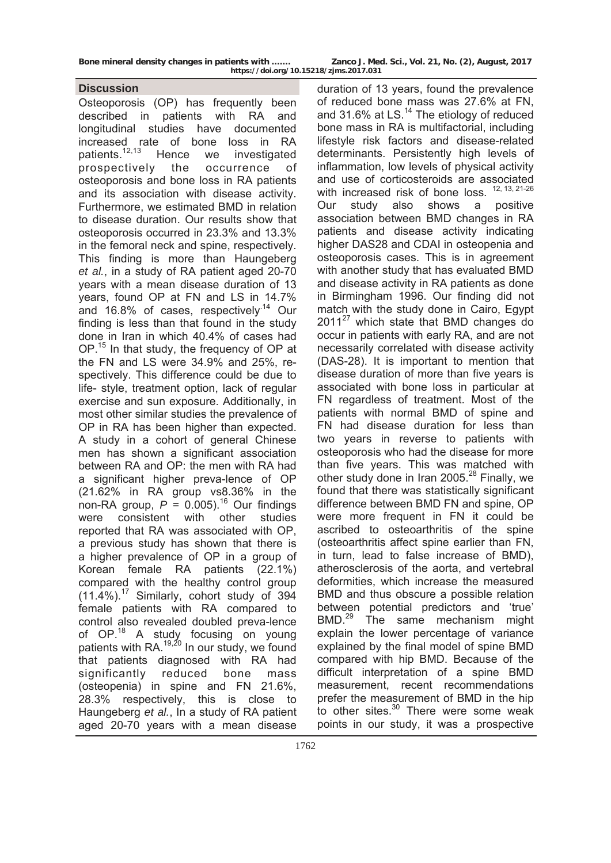## **Discussion**

Osteoporosis (OP) has frequently been described in patients with RA and longitudinal studies have documented increased rate of bone loss in RA patients.12,13 Hence we investigated prospectively the occurrence of osteoporosis and bone loss in RA patients and its association with disease activity. Furthermore, we estimated BMD in relation to disease duration. Our results show that osteoporosis occurred in 23.3% and 13.3% in the femoral neck and spine, respectively. This finding is more than Haungeberg *et al.*, in a study of RA patient aged 20-70 years with a mean disease duration of 13 years, found OP at FN and LS in 14.7% and 16.8% of cases, respectively.<sup>14</sup> Our finding is less than that found in the study done in Iran in which 40.4% of cases had OP.<sup>15</sup> In that study, the frequency of OP at the FN and LS were 34.9% and 25%, respectively. This difference could be due to life- style, treatment option, lack of regular exercise and sun exposure. Additionally, in most other similar studies the prevalence of OP in RA has been higher than expected. A study in a cohort of general Chinese men has shown a significant association between RA and OP: the men with RA had a significant higher preva-lence of OP (21.62% in RA group vs8.36% in the non-RA group,  $P = 0.005$ .<sup>16</sup> Our findings were consistent with other studies reported that RA was associated with OP, a previous study has shown that there is a higher prevalence of OP in a group of Korean female RA patients (22.1%) compared with the healthy control group  $(11.4\%)$ .<sup>17</sup> Similarly, cohort study of 394 female patients with RA compared to control also revealed doubled preva-lence of OP.<sup>18</sup> A study focusing on young patients with RA.<sup>19,20</sup> In our study, we found that patients diagnosed with RA had significantly reduced bone mass (osteopenia) in spine and FN 21.6%, 28.3% respectively, this is close to Haungeberg *et al.*, In a study of RA patient aged 20-70 years with a mean disease

duration of 13 years, found the prevalence of reduced bone mass was 27.6% at FN, and 31.6% at LS.<sup>14</sup> The etiology of reduced bone mass in RA is multifactorial, including lifestyle risk factors and disease-related determinants. Persistently high levels of inflammation, low levels of physical activity and use of corticosteroids are associated with increased risk of bone loss. <sup>12, 13, 21-26</sup> Our study also shows a positive association between BMD changes in RA patients and disease activity indicating higher DAS28 and CDAI in osteopenia and osteoporosis cases. This is in agreement with another study that has evaluated BMD and disease activity in RA patients as done in Birmingham 1996. Our finding did not match with the study done in Cairo, Egypt  $2011^{27}$  which state that BMD changes do occur in patients with early RA, and are not necessarily correlated with disease activity (DAS-28). It is important to mention that disease duration of more than five years is associated with bone loss in particular at FN regardless of treatment. Most of the patients with normal BMD of spine and FN had disease duration for less than two years in reverse to patients with osteoporosis who had the disease for more than five years. This was matched with other study done in Iran 2005.<sup>28</sup> Finally, we found that there was statistically significant difference between BMD FN and spine, OP were more frequent in FN it could be ascribed to osteoarthritis of the spine (osteoarthritis affect spine earlier than FN, in turn, lead to false increase of BMD), atherosclerosis of the aorta, and vertebral deformities, which increase the measured BMD and thus obscure a possible relation between potential predictors and 'true' BMD.<sup>29</sup> The same mechanism might explain the lower percentage of variance explained by the final model of spine BMD compared with hip BMD. Because of the difficult interpretation of a spine BMD measurement, recent recommendations prefer the measurement of BMD in the hip to other sites.<sup>30</sup> There were some weak points in our study, it was a prospective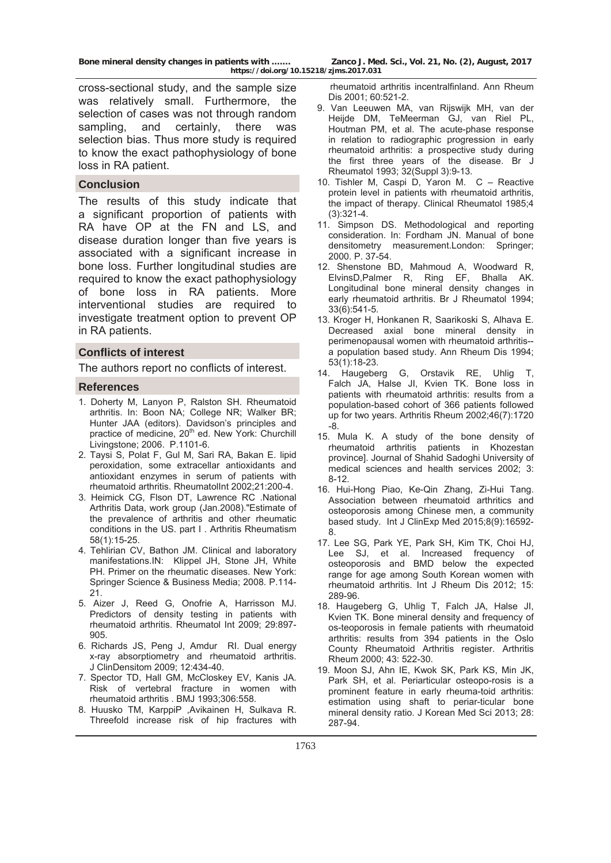cross-sectional study, and the sample size was relatively small. Furthermore, the selection of cases was not through random sampling, and certainly, there was selection bias. Thus more study is required to know the exact pathophysiology of bone loss in RA patient.

#### **Conclusion**

The results of this study indicate that a significant proportion of patients with RA have OP at the FN and LS, and disease duration longer than five years is associated with a significant increase in bone loss. Further longitudinal studies are required to know the exact pathophysiology of bone loss in RA patients. More interventional studies are required to investigate treatment option to prevent OP in RA patients.

#### **Conflicts of interest**

The authors report no conflicts of interest.

#### **References**

- 1. Doherty M, Lanyon P, Ralston SH. Rheumatoid arthritis. In: Boon NA; College NR; Walker BR; Hunter JAA (editors). Davidson's principles and practice of medicine, 20<sup>th</sup> ed. New York: Churchill Livingstone; 2006. P.1101-6.
- 2. Taysi S, Polat F, Gul M, Sari RA, Bakan E. lipid peroxidation, some extracellar antioxidants and antioxidant enzymes in serum of patients with rheumatoid arthritis. RheumatolInt 2002;21:200-4.
- 3. Heimick CG, Flson DT, Lawrence RC .National Arthritis Data, work group (Jan.2008)."Estimate of the prevalence of arthritis and other rheumatic conditions in the US. part I . Arthritis Rheumatism 58(1):15-25.
- 4. Tehlirian CV, Bathon JM. Clinical and laboratory manifestations.IN: Klippel JH, Stone JH, White PH. Primer on the rheumatic diseases. New York: Springer Science & Business Media; 2008. P.114- 21.
- 5. Aizer J, Reed G, Onofrie A, Harrisson MJ. Predictors of density testing in patients with rheumatoid arthritis. Rheumatol Int 2009; 29:897- 905.
- 6. Richards JS, Peng J, Amdur RI. Dual energy x-ray absorptiometry and rheumatoid arthritis. J ClinDensitom 2009; 12:434-40.
- 7. Spector TD, Hall GM, McCloskey EV, Kanis JA. Risk of vertebral fracture in women with rheumatoid arthritis . BMJ 1993;306:558.
- 8. Huusko TM, KarppiP ,Avikainen H, Sulkava R. Threefold increase risk of hip fractures with

 rheumatoid arthritis incentralfinland. Ann Rheum Dis 2001; 60:521-2.

- 9. Van Leeuwen MA, van Rijswijk MH, van der Heijde DM, TeMeerman GJ, van Riel PL, Houtman PM, et al. The acute-phase response in relation to radiographic progression in early rheumatoid arthritis: a prospective study during the first three years of the disease. Br J Rheumatol 1993; 32(Suppl 3):9-13.
- 10. Tishler M, Caspi D, Yaron M. C Reactive protein level in patients with rheumatoid arthritis, the impact of therapy. Clinical Rheumatol 1985;4 (3):321-4.
- 11. Simpson DS. Methodological and reporting consideration. In: Fordham JN. Manual of bone densitometry measurement.London: Springer; 2000. P. 37-54.
- 12. Shenstone BD, Mahmoud A, Woodward R, ElvinsD,Palmer R, Ring EF, Bhalla AK. Longitudinal bone mineral density changes in early rheumatoid arthritis. Br J Rheumatol 1994; 33(6):541-5.
- 13. Kroger H, Honkanen R, Saarikoski S, Alhava E. Decreased axial bone mineral density in perimenopausal women with rheumatoid arthritis- a population based study. Ann Rheum Dis 1994; 53(1):18-23.
- 14. Haugeberg G, Orstavik RE, Uhlig T, Falch JA, Halse JI, Kvien TK. Bone loss in patients with rheumatoid arthritis: results from a population-based cohort of 366 patients followed up for two years. Arthritis Rheum 2002;46(7):1720 -8.
- 15. Mula K. A study of the bone density of rheumatoid arthritis patients in Khozestan province]. Journal of Shahid Sadoghi University of medical sciences and health services 2002; 3: 8-12.
- 16. Hui-Hong Piao, Ke-Qin Zhang, Zi-Hui Tang. Association between rheumatoid arthritics and osteoporosis among Chinese men, a community based study. Int J ClinExp Med 2015;8(9):16592- 8.
- 17. Lee SG, Park YE, Park SH, Kim TK, Choi HJ, Lee SJ, et al. Increased frequency of osteoporosis and BMD below the expected range for age among South Korean women with rheumatoid arthritis. Int J Rheum Dis 2012; 15: 289-96.
- 18. Haugeberg G, Uhlig T, Falch JA, Halse JI, Kvien TK. Bone mineral density and frequency of os-teoporosis in female patients with rheumatoid arthritis: results from 394 patients in the Oslo County Rheumatoid Arthritis register. Arthritis Rheum 2000; 43: 522-30.
- 19. Moon SJ, Ahn IE, Kwok SK, Park KS, Min JK, Park SH, et al. Periarticular osteopo-rosis is a prominent feature in early rheuma-toid arthritis: estimation using shaft to periar-ticular bone mineral density ratio. J Korean Med Sci 2013; 28: 287-94.